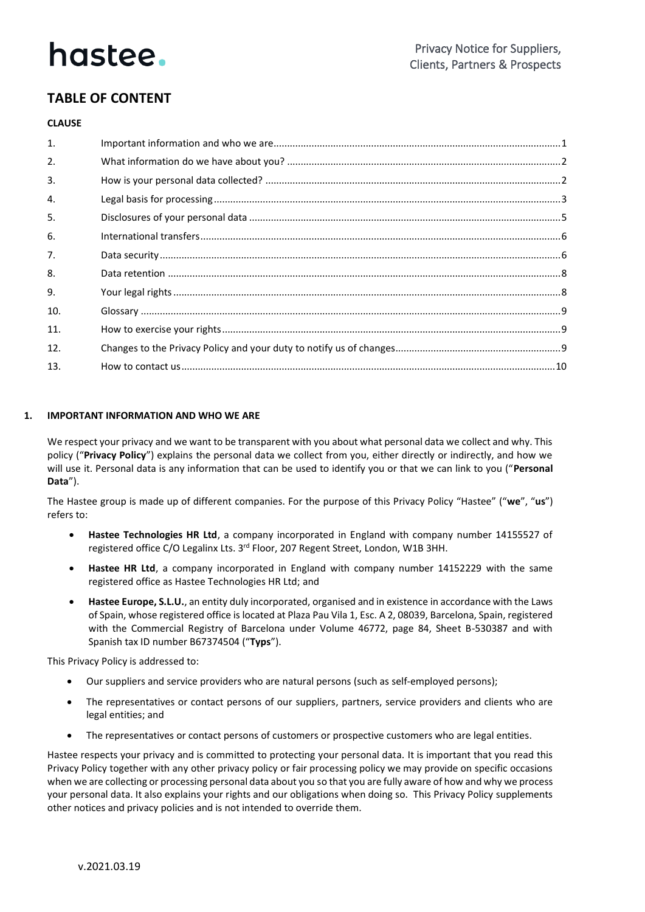### **TABLE OF CONTENT**

#### **CLAUSE**

| $\mathbf{1}$ . |  |
|----------------|--|
| 2.             |  |
| $\mathbf{3}$ . |  |
| $\mathbf{4}$   |  |
| 5.             |  |
| 6.             |  |
| 7.             |  |
| 8.             |  |
| 9.             |  |
| 10.            |  |
| 11.            |  |
| 12.            |  |
| 13.            |  |

#### **1. IMPORTANT INFORMATION AND WHO WE ARE**

We respect your privacy and we want to be transparent with you about what personal data we collect and why. This policy ("**Privacy Policy**") explains the personal data we collect from you, either directly or indirectly, and how we will use it. Personal data is any information that can be used to identify you or that we can link to you ("**Personal Data**").

The Hastee group is made up of different companies. For the purpose of this Privacy Policy "Hastee" ("**we**", "**us**") refers to:

- **Hastee Technologies HR Ltd**, a company incorporated in England with company number 14155527 of registered office C/O Legalinx Lts. 3rd Floor, 207 Regent Street, London, W1B 3HH.
- **Hastee HR Ltd**, a company incorporated in England with company number 14152229 with the same registered office as Hastee Technologies HR Ltd; and
- **Hastee Europe, S.L.U.**, an entity duly incorporated, organised and in existence in accordance with the Laws of Spain, whose registered office is located at Plaza Pau Vila 1, Esc. A 2, 08039, Barcelona, Spain, registered with the Commercial Registry of Barcelona under Volume 46772, page 84, Sheet B-530387 and with Spanish tax ID number B67374504 ("**Typs**").

This Privacy Policy is addressed to:

- Our suppliers and service providers who are natural persons (such as self-employed persons);
- The representatives or contact persons of our suppliers, partners, service providers and clients who are legal entities; and
- The representatives or contact persons of customers or prospective customers who are legal entities.

Hastee respects your privacy and is committed to protecting your personal data. It is important that you read this Privacy Policy together with any other privacy policy or fair processing policy we may provide on specific occasions when we are collecting or processing personal data about you so that you are fully aware of how and why we process your personal data. It also explains your rights and our obligations when doing so. This Privacy Policy supplements other notices and privacy policies and is not intended to override them.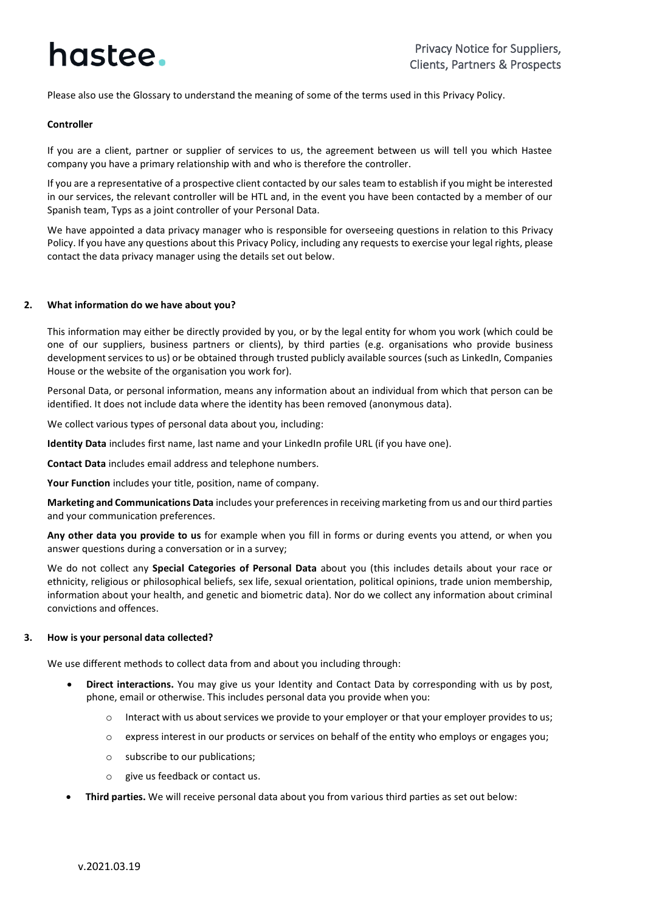Please also use the Glossary to understand the meaning of some of the terms used in this Privacy Policy.

#### **Controller**

If you are a client, partner or supplier of services to us, the agreement between us will tell you which Hastee company you have a primary relationship with and who is therefore the controller.

If you are a representative of a prospective client contacted by our sales team to establish if you might be interested in our services, the relevant controller will be HTL and, in the event you have been contacted by a member of our Spanish team, Typs as a joint controller of your Personal Data.

We have appointed a data privacy manager who is responsible for overseeing questions in relation to this Privacy Policy. If you have any questions about this Privacy Policy, including any requests to exercise your legal rights, please contact the data privacy manager using the details set out below.

#### **2. What information do we have about you?**

This information may either be directly provided by you, or by the legal entity for whom you work (which could be one of our suppliers, business partners or clients), by third parties (e.g. organisations who provide business development services to us) or be obtained through trusted publicly available sources (such as LinkedIn, Companies House or the website of the organisation you work for).

Personal Data, or personal information, means any information about an individual from which that person can be identified. It does not include data where the identity has been removed (anonymous data).

We collect various types of personal data about you, including:

**Identity Data** includes first name, last name and your LinkedIn profile URL (if you have one).

**Contact Data** includes email address and telephone numbers.

**Your Function** includes your title, position, name of company.

**Marketing and Communications Data** includes your preferences in receiving marketing from us and our third parties and your communication preferences.

**Any other data you provide to us** for example when you fill in forms or during events you attend, or when you answer questions during a conversation or in a survey;

We do not collect any **Special Categories of Personal Data** about you (this includes details about your race or ethnicity, religious or philosophical beliefs, sex life, sexual orientation, political opinions, trade union membership, information about your health, and genetic and biometric data). Nor do we collect any information about criminal convictions and offences.

#### <span id="page-1-0"></span>**3. How is your personal data collected?**

We use different methods to collect data from and about you including through:

- **Direct interactions.** You may give us your Identity and Contact Data by corresponding with us by post, phone, email or otherwise. This includes personal data you provide when you:
	- o Interact with us about services we provide to your employer or that your employer provides to us;
	- $\circ$  express interest in our products or services on behalf of the entity who employs or engages you;
	- o subscribe to our publications;
	- give us feedback or contact us.
- **Third parties.** We will receive personal data about you from various third parties as set out below: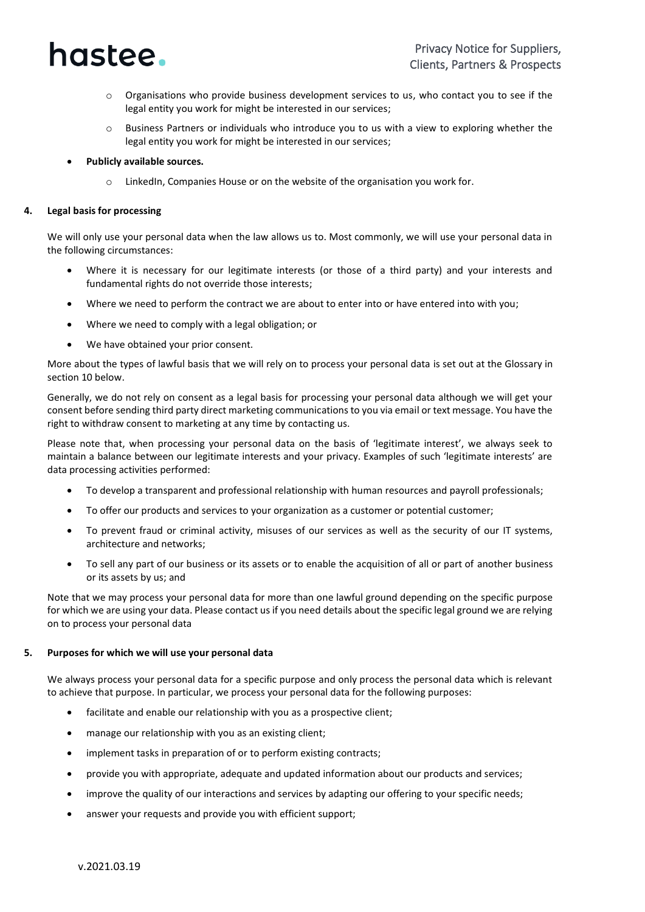

- Organisations who provide business development services to us, who contact you to see if the legal entity you work for might be interested in our services;
- $\circ$  Business Partners or individuals who introduce you to us with a view to exploring whether the legal entity you work for might be interested in our services;
- **Publicly available sources.**
	- LinkedIn, Companies House or on the website of the organisation you work for.

#### **4. Legal basis for processing**

We will only use your personal data when the law allows us to. Most commonly, we will use your personal data in the following circumstances:

- Where it is necessary for our legitimate interests (or those of a third party) and your interests and fundamental rights do not override those interests;
- Where we need to perform the contract we are about to enter into or have entered into with you;
- Where we need to comply with a legal obligation; or
- We have obtained your prior consent.

More about the types of lawful basis that we will rely on to process your personal data is set out at the Glossary in section 10 below.

Generally, we do not rely on consent as a legal basis for processing your personal data although we will get your consent before sending third party direct marketing communications to you via email or text message. You have the right to withdraw consent to marketing at any time by contacting us.

Please note that, when processing your personal data on the basis of 'legitimate interest', we always seek to maintain a balance between our legitimate interests and your privacy. Examples of such 'legitimate interests' are data processing activities performed:

- To develop a transparent and professional relationship with human resources and payroll professionals;
- To offer our products and services to your organization as a customer or potential customer;
- To prevent fraud or criminal activity, misuses of our services as well as the security of our IT systems, architecture and networks;
- To sell any part of our business or its assets or to enable the acquisition of all or part of another business or its assets by us; and

Note that we may process your personal data for more than one lawful ground depending on the specific purpose for which we are using your data. Please contact us if you need details about the specific legal ground we are relying on to process your personal data

#### **5. Purposes for which we will use your personal data**

We always process your personal data for a specific purpose and only process the personal data which is relevant to achieve that purpose. In particular, we process your personal data for the following purposes:

- facilitate and enable our relationship with you as a prospective client;
- manage our relationship with you as an existing client;
- implement tasks in preparation of or to perform existing contracts;
- provide you with appropriate, adequate and updated information about our products and services;
- improve the quality of our interactions and services by adapting our offering to your specific needs;
- answer your requests and provide you with efficient support;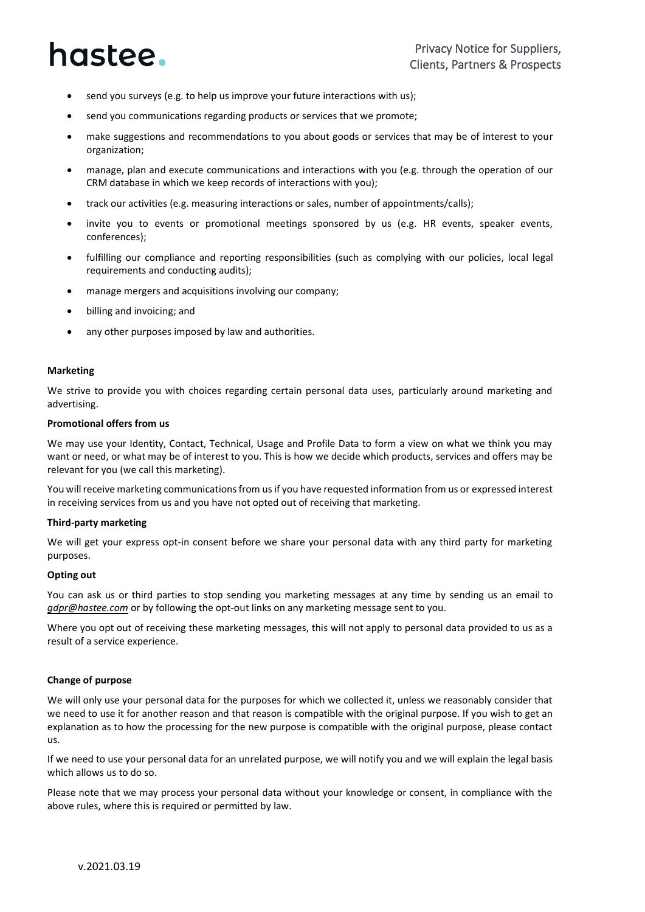- send you surveys (e.g. to help us improve your future interactions with us);
- send you communications regarding products or services that we promote;
- make suggestions and recommendations to you about goods or services that may be of interest to your organization;
- manage, plan and execute communications and interactions with you (e.g. through the operation of our CRM database in which we keep records of interactions with you);
- track our activities (e.g. measuring interactions or sales, number of appointments/calls);
- invite you to events or promotional meetings sponsored by us (e.g. HR events, speaker events, conferences);
- fulfilling our compliance and reporting responsibilities (such as complying with our policies, local legal requirements and conducting audits);
- manage mergers and acquisitions involving our company;
- billing and invoicing; and
- any other purposes imposed by law and authorities.

#### **Marketing**

We strive to provide you with choices regarding certain personal data uses, particularly around marketing and advertising.

#### **Promotional offers from us**

We may use your Identity, Contact, Technical, Usage and Profile Data to form a view on what we think you may want or need, or what may be of interest to you. This is how we decide which products, services and offers may be relevant for you (we call this marketing).

You will receive marketing communications from us if you have requested information from us or expressed interest in receiving services from us and you have not opted out of receiving that marketing.

#### **Third-party marketing**

We will get your express opt-in consent before we share your personal data with any third party for marketing purposes.

#### **Opting out**

You can ask us or third parties to stop sending you marketing messages at any time by sending us an email to *[gdpr@hastee.com](mailto:gdpr@hastee.com)* or by following the opt-out links on any marketing message sent to you.

Where you opt out of receiving these marketing messages, this will not apply to personal data provided to us as a result of a service experience.

#### **Change of purpose**

We will only use your personal data for the purposes for which we collected it, unless we reasonably consider that we need to use it for another reason and that reason is compatible with the original purpose. If you wish to get an explanation as to how the processing for the new purpose is compatible with the original purpose, please contact us.

If we need to use your personal data for an unrelated purpose, we will notify you and we will explain the legal basis which allows us to do so.

Please note that we may process your personal data without your knowledge or consent, in compliance with the above rules, where this is required or permitted by law.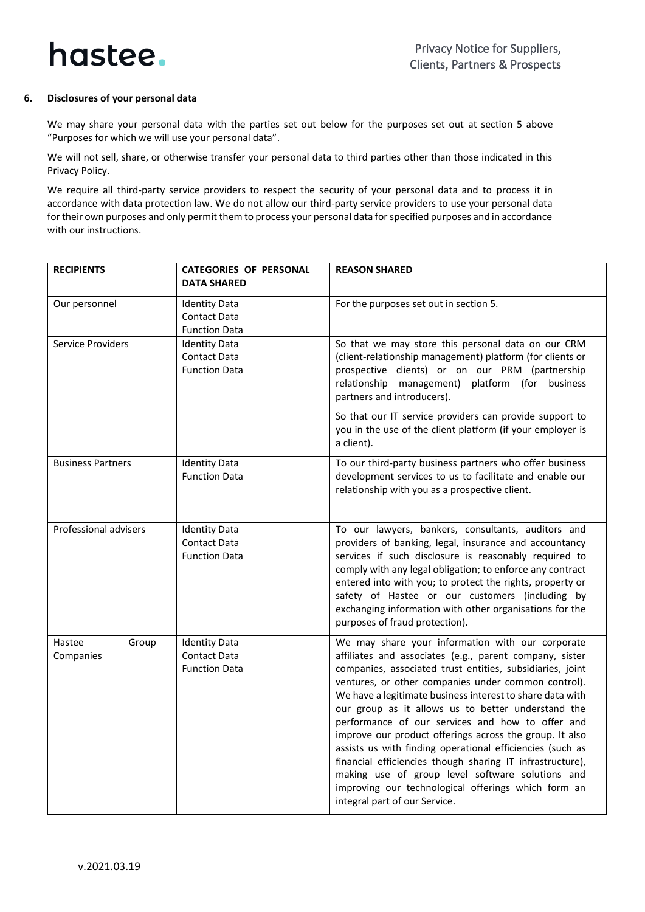

#### <span id="page-4-0"></span>**6. Disclosures of your personal data**

We may share your personal data with the parties set out below for the purposes set out at section 5 above "Purposes for which we will use your personal data".

We will not sell, share, or otherwise transfer your personal data to third parties other than those indicated in this Privacy Policy.

We require all third-party service providers to respect the security of your personal data and to process it in accordance with data protection law. We do not allow our third-party service providers to use your personal data for their own purposes and only permit them to process your personal data for specified purposes and in accordance with our instructions.

<span id="page-4-1"></span>

| <b>RECIPIENTS</b>            | <b>CATEGORIES OF PERSONAL</b><br><b>DATA SHARED</b>                 | <b>REASON SHARED</b>                                                                                                                                                                                                                                                                                                                                                                                                                                                                                                                                                                                                                                                                                                                    |
|------------------------------|---------------------------------------------------------------------|-----------------------------------------------------------------------------------------------------------------------------------------------------------------------------------------------------------------------------------------------------------------------------------------------------------------------------------------------------------------------------------------------------------------------------------------------------------------------------------------------------------------------------------------------------------------------------------------------------------------------------------------------------------------------------------------------------------------------------------------|
| Our personnel                | <b>Identity Data</b><br><b>Contact Data</b><br><b>Function Data</b> | For the purposes set out in section 5.                                                                                                                                                                                                                                                                                                                                                                                                                                                                                                                                                                                                                                                                                                  |
| Service Providers            | <b>Identity Data</b><br>Contact Data<br><b>Function Data</b>        | So that we may store this personal data on our CRM<br>(client-relationship management) platform (for clients or<br>prospective clients) or on our PRM (partnership<br>relationship management) platform (for business<br>partners and introducers).<br>So that our IT service providers can provide support to<br>you in the use of the client platform (if your employer is<br>a client).                                                                                                                                                                                                                                                                                                                                              |
| <b>Business Partners</b>     | <b>Identity Data</b><br><b>Function Data</b>                        | To our third-party business partners who offer business<br>development services to us to facilitate and enable our<br>relationship with you as a prospective client.                                                                                                                                                                                                                                                                                                                                                                                                                                                                                                                                                                    |
| Professional advisers        | <b>Identity Data</b><br><b>Contact Data</b><br><b>Function Data</b> | To our lawyers, bankers, consultants, auditors and<br>providers of banking, legal, insurance and accountancy<br>services if such disclosure is reasonably required to<br>comply with any legal obligation; to enforce any contract<br>entered into with you; to protect the rights, property or<br>safety of Hastee or our customers (including by<br>exchanging information with other organisations for the<br>purposes of fraud protection).                                                                                                                                                                                                                                                                                         |
| Group<br>Hastee<br>Companies | <b>Identity Data</b><br><b>Contact Data</b><br><b>Function Data</b> | We may share your information with our corporate<br>affiliates and associates (e.g., parent company, sister<br>companies, associated trust entities, subsidiaries, joint<br>ventures, or other companies under common control).<br>We have a legitimate business interest to share data with<br>our group as it allows us to better understand the<br>performance of our services and how to offer and<br>improve our product offerings across the group. It also<br>assists us with finding operational efficiencies (such as<br>financial efficiencies though sharing IT infrastructure),<br>making use of group level software solutions and<br>improving our technological offerings which form an<br>integral part of our Service. |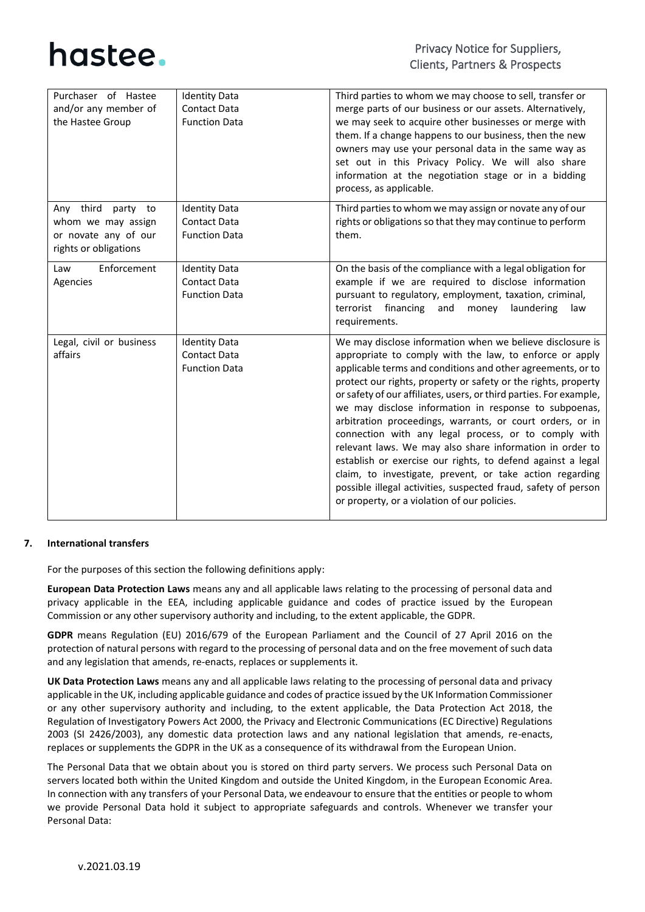

| Purchaser of Hastee<br>and/or any member of<br>the Hastee Group                              | <b>Identity Data</b><br><b>Contact Data</b><br><b>Function Data</b> | Third parties to whom we may choose to sell, transfer or<br>merge parts of our business or our assets. Alternatively,<br>we may seek to acquire other businesses or merge with<br>them. If a change happens to our business, then the new<br>owners may use your personal data in the same way as<br>set out in this Privacy Policy. We will also share<br>information at the negotiation stage or in a bidding<br>process, as applicable.                                                                                                                                                                                                                                                                                                                                                                         |
|----------------------------------------------------------------------------------------------|---------------------------------------------------------------------|--------------------------------------------------------------------------------------------------------------------------------------------------------------------------------------------------------------------------------------------------------------------------------------------------------------------------------------------------------------------------------------------------------------------------------------------------------------------------------------------------------------------------------------------------------------------------------------------------------------------------------------------------------------------------------------------------------------------------------------------------------------------------------------------------------------------|
| Any third<br>party to<br>whom we may assign<br>or novate any of our<br>rights or obligations | <b>Identity Data</b><br><b>Contact Data</b><br><b>Function Data</b> | Third parties to whom we may assign or novate any of our<br>rights or obligations so that they may continue to perform<br>them.                                                                                                                                                                                                                                                                                                                                                                                                                                                                                                                                                                                                                                                                                    |
| Enforcement<br>Law<br>Agencies                                                               | <b>Identity Data</b><br><b>Contact Data</b><br><b>Function Data</b> | On the basis of the compliance with a legal obligation for<br>example if we are required to disclose information<br>pursuant to regulatory, employment, taxation, criminal,<br>financing<br>terrorist<br>laundering<br>and<br>money<br>law<br>requirements.                                                                                                                                                                                                                                                                                                                                                                                                                                                                                                                                                        |
| Legal, civil or business<br>affairs                                                          | <b>Identity Data</b><br><b>Contact Data</b><br><b>Function Data</b> | We may disclose information when we believe disclosure is<br>appropriate to comply with the law, to enforce or apply<br>applicable terms and conditions and other agreements, or to<br>protect our rights, property or safety or the rights, property<br>or safety of our affiliates, users, or third parties. For example,<br>we may disclose information in response to subpoenas,<br>arbitration proceedings, warrants, or court orders, or in<br>connection with any legal process, or to comply with<br>relevant laws. We may also share information in order to<br>establish or exercise our rights, to defend against a legal<br>claim, to investigate, prevent, or take action regarding<br>possible illegal activities, suspected fraud, safety of person<br>or property, or a violation of our policies. |

#### **7. International transfers**

<span id="page-5-0"></span>For the purposes of this section the following definitions apply:

**European Data Protection Laws** means any and all applicable laws relating to the processing of personal data and privacy applicable in the EEA, including applicable guidance and codes of practice issued by the European Commission or any other supervisory authority and including, to the extent applicable, the GDPR.

**GDPR** means Regulation (EU) 2016/679 of the European Parliament and the Council of 27 April 2016 on the protection of natural persons with regard to the processing of personal data and on the free movement of such data and any legislation that amends, re-enacts, replaces or supplements it.

**UK Data Protection Laws** means any and all applicable laws relating to the processing of personal data and privacy applicable in the UK, including applicable guidance and codes of practice issued by the UK Information Commissioner or any other supervisory authority and including, to the extent applicable, the Data Protection Act 2018, the Regulation of Investigatory Powers Act 2000, the Privacy and Electronic Communications (EC Directive) Regulations 2003 (SI 2426/2003), any domestic data protection laws and any national legislation that amends, re-enacts, replaces or supplements the GDPR in the UK as a consequence of its withdrawal from the European Union.

The Personal Data that we obtain about you is stored on third party servers. We process such Personal Data on servers located both within the United Kingdom and outside the United Kingdom, in the European Economic Area. In connection with any transfers of your Personal Data, we endeavour to ensure that the entities or people to whom we provide Personal Data hold it subject to appropriate safeguards and controls. Whenever we transfer your Personal Data: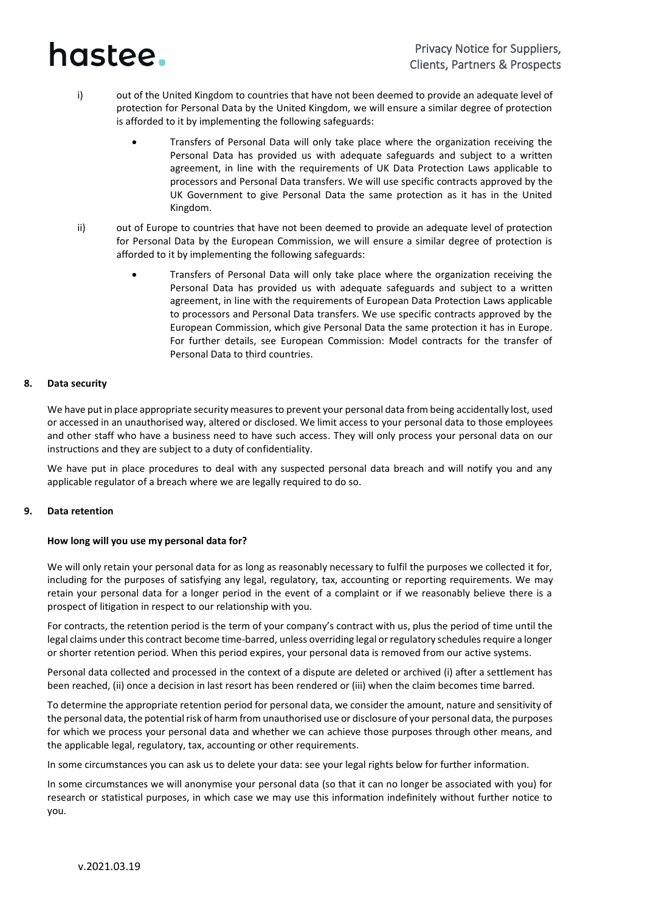- i) out of the United Kingdom to countries that have not been deemed to provide an adequate level of protection for Personal Data by the United Kingdom, we will ensure a similar degree of protection is afforded to it by implementing the following safeguards:
	- Transfers of Personal Data will only take place where the organization receiving the Personal Data has provided us with adequate safeguards and subject to a written agreement, in line with the requirements of UK Data Protection Laws applicable to processors and Personal Data transfers. We will use specific contracts approved by the UK Government to give Personal Data the same protection as it has in the United Kingdom.
- ii) out of Europe to countries that have not been deemed to provide an adequate level of protection for Personal Data by the European Commission, we will ensure a similar degree of protection is afforded to it by implementing the following safeguards:
	- Transfers of Personal Data will only take place where the organization receiving the Personal Data has provided us with adequate safeguards and subject to a written agreement, in line with the requirements of European Data Protection Laws applicable to processors and Personal Data transfers. We use specific contracts approved by the European Commission, which give Personal Data the same protection it has in Europe. For further details, see European Commission: Model contracts for the transfer of Personal Data to third countries.

#### **8. Data security**

We have put in place appropriate security measures to prevent your personal data from being accidentally lost, used or accessed in an unauthorised way, altered or disclosed. We limit access to your personal data to those employees and other staff who have a business need to have such access. They will only process your personal data on our instructions and they are subject to a duty of confidentiality.

We have put in place procedures to deal with any suspected personal data breach and will notify you and any applicable regulator of a breach where we are legally required to do so.

#### <span id="page-6-0"></span>**9. Data retention**

#### **How long will you use my personal data for?**

We will only retain your personal data for as long as reasonably necessary to fulfil the purposes we collected it for, including for the purposes of satisfying any legal, regulatory, tax, accounting or reporting requirements. We may retain your personal data for a longer period in the event of a complaint or if we reasonably believe there is a prospect of litigation in respect to our relationship with you.

For contracts, the retention period is the term of your company's contract with us, plus the period of time until the legal claims under this contract become time-barred, unless overriding legal or regulatory schedules require a longer or shorter retention period. When this period expires, your personal data is removed from our active systems.

Personal data collected and processed in the context of a dispute are deleted or archived (i) after a settlement has been reached, (ii) once a decision in last resort has been rendered or (iii) when the claim becomes time barred.

To determine the appropriate retention period for personal data, we consider the amount, nature and sensitivity of the personal data, the potential risk of harm from unauthorised use or disclosure of your personal data, the purposes for which we process your personal data and whether we can achieve those purposes through other means, and the applicable legal, regulatory, tax, accounting or other requirements.

In some circumstances you can ask us to delete your data: see your legal rights below for further information.

In some circumstances we will anonymise your personal data (so that it can no longer be associated with you) for research or statistical purposes, in which case we may use this information indefinitely without further notice to you.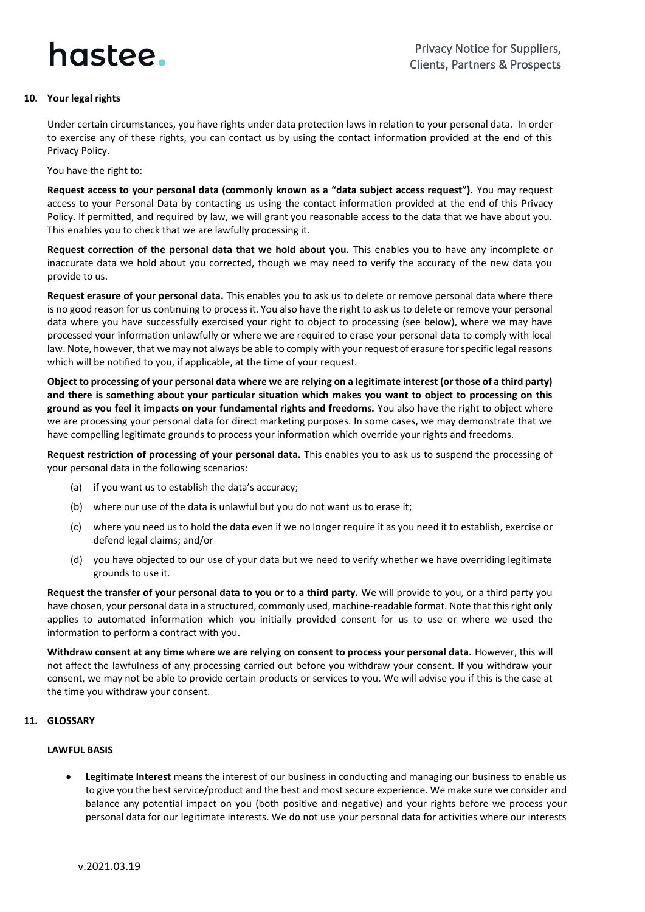

#### <span id="page-7-0"></span>**10. Your legal rights**

Under certain circumstances, you have rights under data protection laws in relation to your personal data. In order to exercise any of these rights, you can contact us by using the contact information provided at the end of this Privacy Policy.

You have the right to:

**Request access to your personal data (commonly known as a "data subject access request").** You may request access to your Personal Data by contacting us using the contact information provided at the end of this Privacy Policy. If permitted, and required by law, we will grant you reasonable access to the data that we have about you. This enables you to check that we are lawfully processing it.

**Request correction of the personal data that we hold about you.** This enables you to have any incomplete or inaccurate data we hold about you corrected, though we may need to verify the accuracy of the new data you provide to us.

**Request erasure of your personal data.** This enables you to ask us to delete or remove personal data where there is no good reason for us continuing to process it. You also have the right to ask us to delete or remove your personal data where you have successfully exercised your right to object to processing (see below), where we may have processed your information unlawfully or where we are required to erase your personal data to comply with local law. Note, however, that we may not always be able to comply with your request of erasure for specific legal reasons which will be notified to you, if applicable, at the time of your request.

**Object to processing of your personal data where we are relying on a legitimate interest (or those of a third party) and there is something about your particular situation which makes you want to object to processing on this ground as you feel it impacts on your fundamental rights and freedoms.** You also have the right to object where we are processing your personal data for direct marketing purposes. In some cases, we may demonstrate that we have compelling legitimate grounds to process your information which override your rights and freedoms.

**Request restriction of processing of your personal data.** This enables you to ask us to suspend the processing of your personal data in the following scenarios:

- (a) if you want us to establish the data's accuracy;
- (b) where our use of the data is unlawful but you do not want us to erase it;
- (c) where you need us to hold the data even if we no longer require it as you need it to establish, exercise or defend legal claims; and/or
- (d) you have objected to our use of your data but we need to verify whether we have overriding legitimate grounds to use it.

**Request the transfer of your personal data to you or to a third party.** We will provide to you, or a third party you have chosen, your personal data in a structured, commonly used, machine-readable format. Note that this right only applies to automated information which you initially provided consent for us to use or where we used the information to perform a contract with you.

**Withdraw consent at any time where we are relying on consent to process your personal data.** However, this will not affect the lawfulness of any processing carried out before you withdraw your consent. If you withdraw your consent, we may not be able to provide certain products or services to you. We will advise you if this is the case at the time you withdraw your consent.

#### **11. GLOSSARY**

#### **LAWFUL BASIS**

• **Legitimate Interest** means the interest of our business in conducting and managing our business to enable us to give you the best service/product and the best and most secure experience. We make sure we consider and balance any potential impact on you (both positive and negative) and your rights before we process your personal data for our legitimate interests. We do not use your personal data for activities where our interests